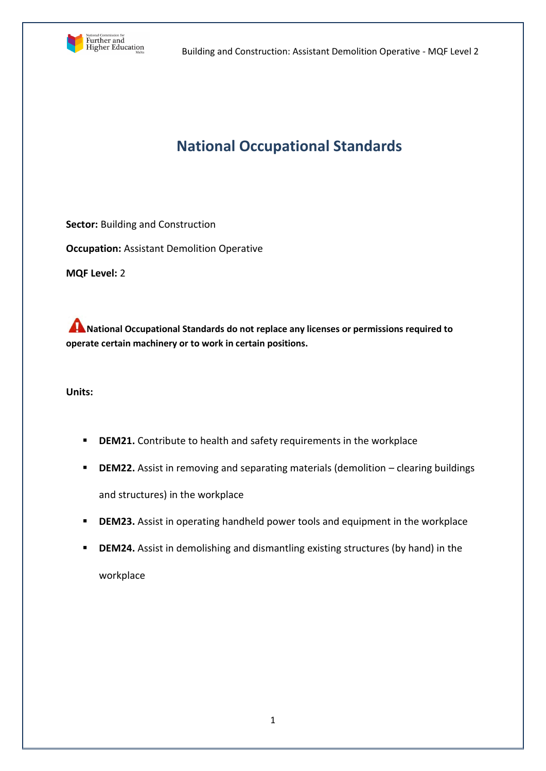

# **National Occupational Standards**

**Sector:** Building and Construction **Occupation:** Assistant Demolition Operative **MQF Level:** 2

**ANational Occupational Standards do not replace any licenses or permissions required to operate certain machinery or to work in certain positions.**

**Units:** 

- **DEM21.** Contribute to health and safety requirements in the workplace
- **DEM22.** Assist in removing and separating materials (demolition clearing buildings and structures) in the workplace
- **DEM23.** Assist in operating handheld power tools and equipment in the workplace
- **DEM24.** Assist in demolishing and dismantling existing structures (by hand) in the workplace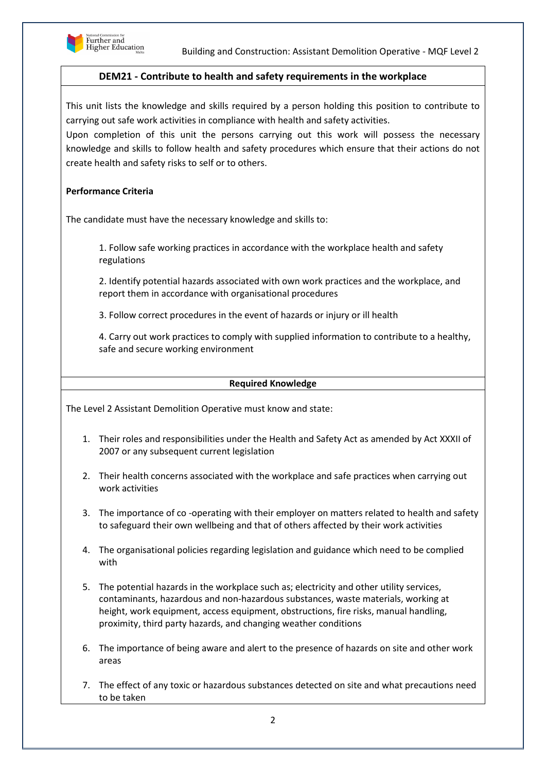

## **DEM21 - Contribute to health and safety requirements in the workplace**

This unit lists the knowledge and skills required by a person holding this position to contribute to carrying out safe work activities in compliance with health and safety activities.

Upon completion of this unit the persons carrying out this work will possess the necessary knowledge and skills to follow health and safety procedures which ensure that their actions do not create health and safety risks to self or to others.

## **Performance Criteria**

The candidate must have the necessary knowledge and skills to:

1. Follow safe working practices in accordance with the workplace health and safety regulations

2. Identify potential hazards associated with own work practices and the workplace, and report them in accordance with organisational procedures

3. Follow correct procedures in the event of hazards or injury or ill health

4. Carry out work practices to comply with supplied information to contribute to a healthy, safe and secure working environment

#### **Required Knowledge**

The Level 2 Assistant Demolition Operative must know and state:

- 1. Their roles and responsibilities under the Health and Safety Act as amended by Act XXXII of 2007 or any subsequent current legislation
- 2. Their health concerns associated with the workplace and safe practices when carrying out work activities
- 3. The importance of co -operating with their employer on matters related to health and safety to safeguard their own wellbeing and that of others affected by their work activities
- 4. The organisational policies regarding legislation and guidance which need to be complied with
- 5. The potential hazards in the workplace such as; electricity and other utility services, contaminants, hazardous and non-hazardous substances, waste materials, working at height, work equipment, access equipment, obstructions, fire risks, manual handling, proximity, third party hazards, and changing weather conditions
- 6. The importance of being aware and alert to the presence of hazards on site and other work areas
- 7. The effect of any toxic or hazardous substances detected on site and what precautions need to be taken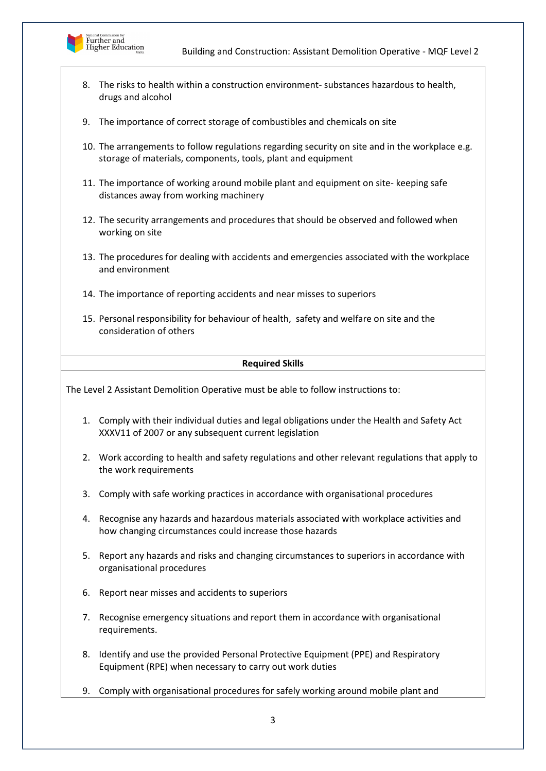

- 8. The risks to health within a construction environment- substances hazardous to health, drugs and alcohol
- 9. The importance of correct storage of combustibles and chemicals on site
- 10. The arrangements to follow regulations regarding security on site and in the workplace e.g. storage of materials, components, tools, plant and equipment
- 11. The importance of working around mobile plant and equipment on site- keeping safe distances away from working machinery
- 12. The security arrangements and procedures that should be observed and followed when working on site
- 13. The procedures for dealing with accidents and emergencies associated with the workplace and environment
- 14. The importance of reporting accidents and near misses to superiors
- 15. Personal responsibility for behaviour of health, safety and welfare on site and the consideration of others

#### **Required Skills**

The Level 2 Assistant Demolition Operative must be able to follow instructions to:

- 1. Comply with their individual duties and legal obligations under the Health and Safety Act XXXV11 of 2007 or any subsequent current legislation
- 2. Work according to health and safety regulations and other relevant regulations that apply to the work requirements
- 3. Comply with safe working practices in accordance with organisational procedures
- 4. Recognise any hazards and hazardous materials associated with workplace activities and how changing circumstances could increase those hazards
- 5. Report any hazards and risks and changing circumstances to superiors in accordance with organisational procedures
- 6. Report near misses and accidents to superiors
- 7. Recognise emergency situations and report them in accordance with organisational requirements.
- 8. Identify and use the provided Personal Protective Equipment (PPE) and Respiratory Equipment (RPE) when necessary to carry out work duties
- 9. Comply with organisational procedures for safely working around mobile plant and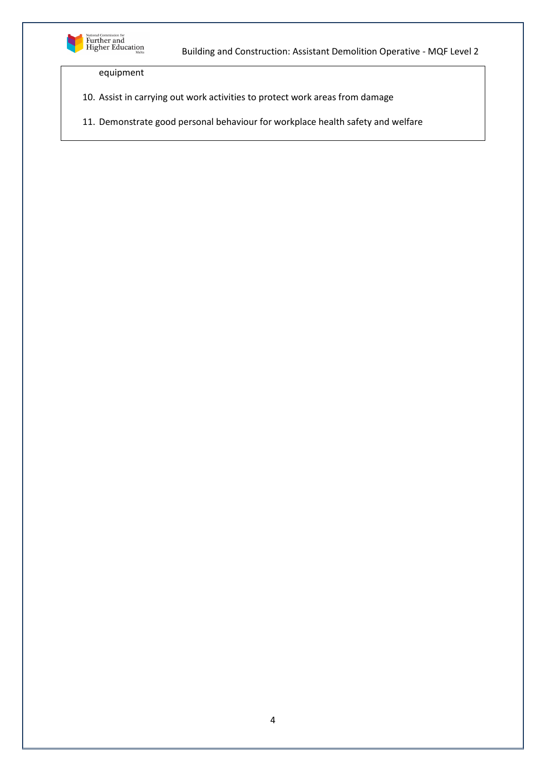

equipment

- 10. Assist in carrying out work activities to protect work areas from damage
- 11. Demonstrate good personal behaviour for workplace health safety and welfare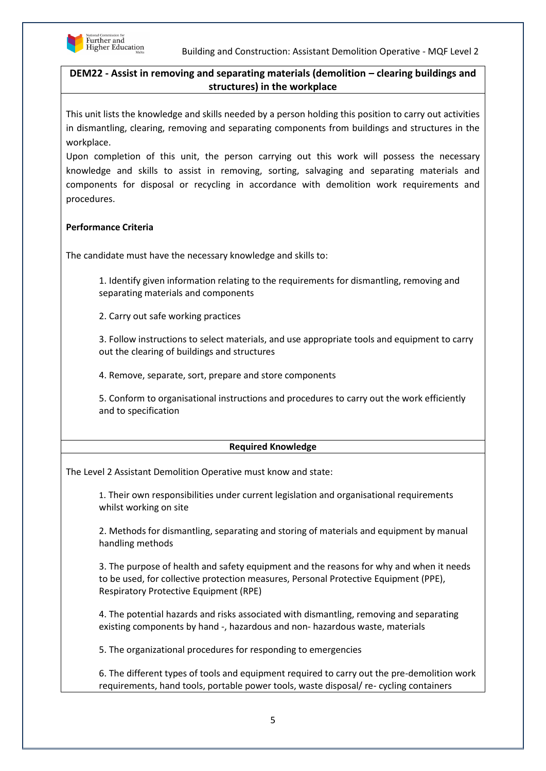

# **DEM22 - Assist in removing and separating materials (demolition – clearing buildings and structures) in the workplace**

This unit lists the knowledge and skills needed by a person holding this position to carry out activities in dismantling, clearing, removing and separating components from buildings and structures in the workplace.

Upon completion of this unit, the person carrying out this work will possess the necessary knowledge and skills to assist in removing, sorting, salvaging and separating materials and components for disposal or recycling in accordance with demolition work requirements and procedures.

# **Performance Criteria**

The candidate must have the necessary knowledge and skills to:

1. Identify given information relating to the requirements for dismantling, removing and separating materials and components

2. Carry out safe working practices

3. Follow instructions to select materials, and use appropriate tools and equipment to carry out the clearing of buildings and structures

4. Remove, separate, sort, prepare and store components

5. Conform to organisational instructions and procedures to carry out the work efficiently and to specification

## **Required Knowledge**

The Level 2 Assistant Demolition Operative must know and state:

1. Their own responsibilities under current legislation and organisational requirements whilst working on site

2. Methods for dismantling, separating and storing of materials and equipment by manual handling methods

3. The purpose of health and safety equipment and the reasons for why and when it needs to be used, for collective protection measures, Personal Protective Equipment (PPE), Respiratory Protective Equipment (RPE)

4. The potential hazards and risks associated with dismantling, removing and separating existing components by hand -, hazardous and non- hazardous waste, materials

5. The organizational procedures for responding to emergencies

6. The different types of tools and equipment required to carry out the pre-demolition work requirements, hand tools, portable power tools, waste disposal/ re- cycling containers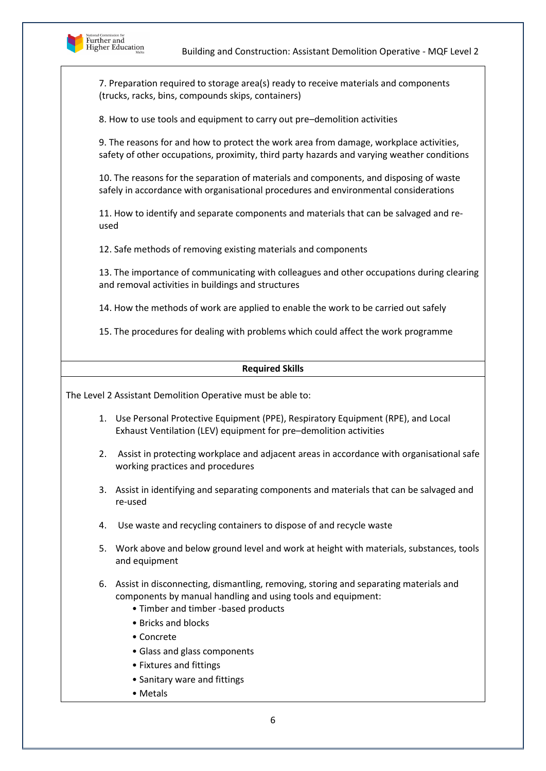

7. Preparation required to storage area(s) ready to receive materials and components (trucks, racks, bins, compounds skips, containers)

8. How to use tools and equipment to carry out pre–demolition activities

9. The reasons for and how to protect the work area from damage, workplace activities, safety of other occupations, proximity, third party hazards and varying weather conditions

10. The reasons for the separation of materials and components, and disposing of waste safely in accordance with organisational procedures and environmental considerations

11. How to identify and separate components and materials that can be salvaged and reused

12. Safe methods of removing existing materials and components

13. The importance of communicating with colleagues and other occupations during clearing and removal activities in buildings and structures

14. How the methods of work are applied to enable the work to be carried out safely

15. The procedures for dealing with problems which could affect the work programme

#### **Required Skills**

The Level 2 Assistant Demolition Operative must be able to:

- 1. Use Personal Protective Equipment (PPE), Respiratory Equipment (RPE), and Local Exhaust Ventilation (LEV) equipment for pre–demolition activities
- 2. Assist in protecting workplace and adjacent areas in accordance with organisational safe working practices and procedures
- 3. Assist in identifying and separating components and materials that can be salvaged and re-used
- 4. Use waste and recycling containers to dispose of and recycle waste
- 5. Work above and below ground level and work at height with materials, substances, tools and equipment
- 6. Assist in disconnecting, dismantling, removing, storing and separating materials and components by manual handling and using tools and equipment:
	- Timber and timber -based products
	- Bricks and blocks
	- Concrete
	- Glass and glass components
	- Fixtures and fittings
	- Sanitary ware and fittings
	- Metals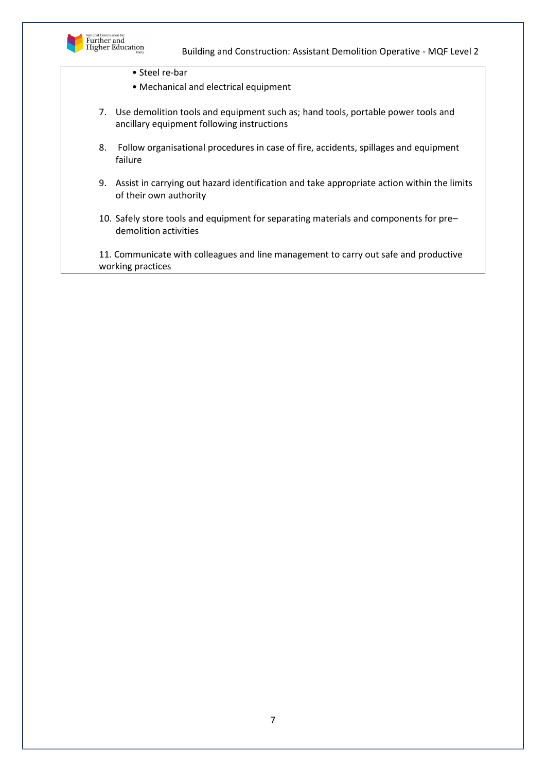

- Steel re-bar
- Mechanical and electrical equipment
- 7. Use demolition tools and equipment such as; hand tools, portable power tools and ancillary equipment following instructions
- 8. Follow organisational procedures in case of fire, accidents, spillages and equipment failure
- 9. Assist in carrying out hazard identification and take appropriate action within the limits of their own authority
- 10. Safely store tools and equipment for separating materials and components for pre– demolition activities

11. Communicate with colleagues and line management to carry out safe and productive working practices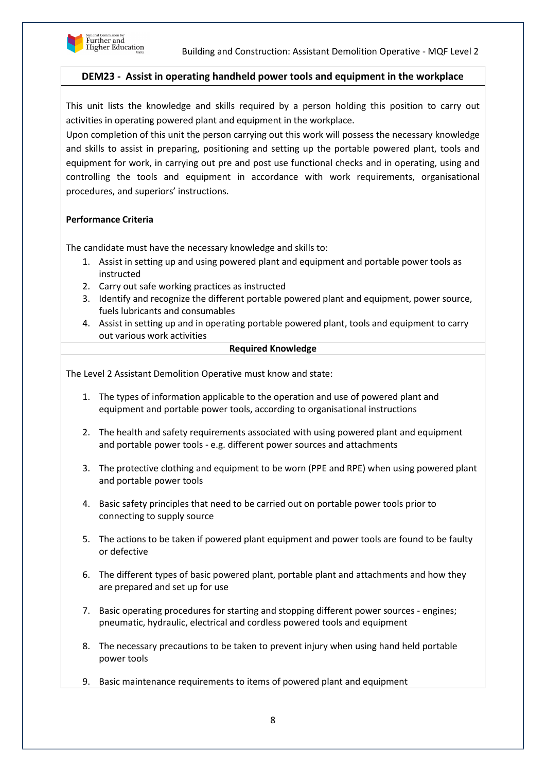

## **DEM23 - Assist in operating handheld power tools and equipment in the workplace**

This unit lists the knowledge and skills required by a person holding this position to carry out activities in operating powered plant and equipment in the workplace.

Upon completion of this unit the person carrying out this work will possess the necessary knowledge and skills to assist in preparing, positioning and setting up the portable powered plant, tools and equipment for work, in carrying out pre and post use functional checks and in operating, using and controlling the tools and equipment in accordance with work requirements, organisational procedures, and superiors' instructions.

#### **Performance Criteria**

The candidate must have the necessary knowledge and skills to:

- 1. Assist in setting up and using powered plant and equipment and portable power tools as instructed
- 2. Carry out safe working practices as instructed
- 3. Identify and recognize the different portable powered plant and equipment, power source, fuels lubricants and consumables
- 4. Assist in setting up and in operating portable powered plant, tools and equipment to carry out various work activities

#### **Required Knowledge**

The Level 2 Assistant Demolition Operative must know and state:

- 1. The types of information applicable to the operation and use of powered plant and equipment and portable power tools, according to organisational instructions
- 2. The health and safety requirements associated with using powered plant and equipment and portable power tools - e.g. different power sources and attachments
- 3. The protective clothing and equipment to be worn (PPE and RPE) when using powered plant and portable power tools
- 4. Basic safety principles that need to be carried out on portable power tools prior to connecting to supply source
- 5. The actions to be taken if powered plant equipment and power tools are found to be faulty or defective
- 6. The different types of basic powered plant, portable plant and attachments and how they are prepared and set up for use
- 7. Basic operating procedures for starting and stopping different power sources engines; pneumatic, hydraulic, electrical and cordless powered tools and equipment
- 8. The necessary precautions to be taken to prevent injury when using hand held portable power tools
- 9. Basic maintenance requirements to items of powered plant and equipment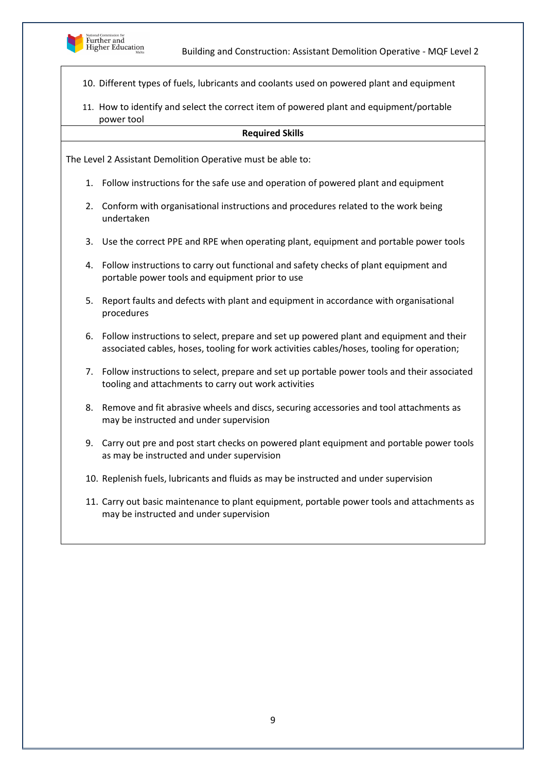

10. Different types of fuels, lubricants and coolants used on powered plant and equipment

11. How to identify and select the correct item of powered plant and equipment/portable power tool

#### **Required Skills**

The Level 2 Assistant Demolition Operative must be able to:

- 1. Follow instructions for the safe use and operation of powered plant and equipment
- 2. Conform with organisational instructions and procedures related to the work being undertaken
- 3. Use the correct PPE and RPE when operating plant, equipment and portable power tools
- 4. Follow instructions to carry out functional and safety checks of plant equipment and portable power tools and equipment prior to use
- 5. Report faults and defects with plant and equipment in accordance with organisational procedures
- 6. Follow instructions to select, prepare and set up powered plant and equipment and their associated cables, hoses, tooling for work activities cables/hoses, tooling for operation;
- 7. Follow instructions to select, prepare and set up portable power tools and their associated tooling and attachments to carry out work activities
- 8. Remove and fit abrasive wheels and discs, securing accessories and tool attachments as may be instructed and under supervision
- 9. Carry out pre and post start checks on powered plant equipment and portable power tools as may be instructed and under supervision
- 10. Replenish fuels, lubricants and fluids as may be instructed and under supervision
- 11. Carry out basic maintenance to plant equipment, portable power tools and attachments as may be instructed and under supervision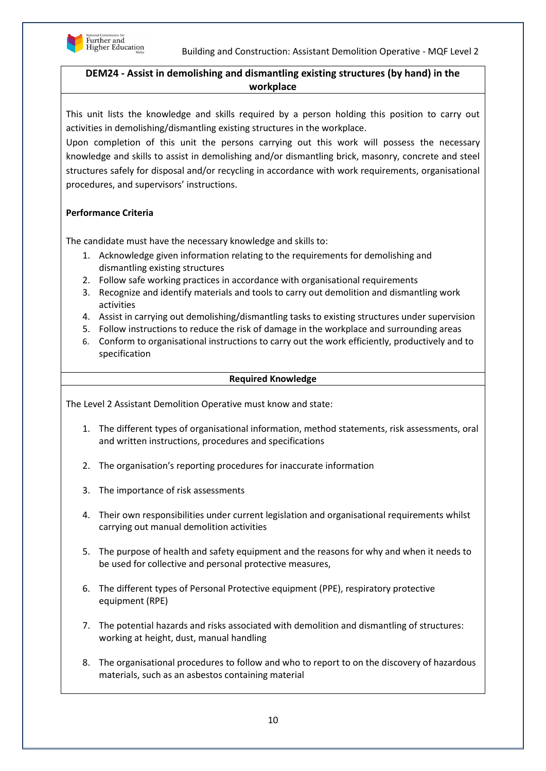

# **DEM24 - Assist in demolishing and dismantling existing structures (by hand) in the workplace**

This unit lists the knowledge and skills required by a person holding this position to carry out activities in demolishing/dismantling existing structures in the workplace.

Upon completion of this unit the persons carrying out this work will possess the necessary knowledge and skills to assist in demolishing and/or dismantling brick, masonry, concrete and steel structures safely for disposal and/or recycling in accordance with work requirements, organisational procedures, and supervisors' instructions.

# **Performance Criteria**

The candidate must have the necessary knowledge and skills to:

- 1. Acknowledge given information relating to the requirements for demolishing and dismantling existing structures
- 2. Follow safe working practices in accordance with organisational requirements
- 3. Recognize and identify materials and tools to carry out demolition and dismantling work activities
- 4. Assist in carrying out demolishing/dismantling tasks to existing structures under supervision
- 5. Follow instructions to reduce the risk of damage in the workplace and surrounding areas
- 6. Conform to organisational instructions to carry out the work efficiently, productively and to specification

#### **Required Knowledge**

The Level 2 Assistant Demolition Operative must know and state:

- 1. The different types of organisational information, method statements, risk assessments, oral and written instructions, procedures and specifications
- 2. The organisation's reporting procedures for inaccurate information
- 3. The importance of risk assessments
- 4. Their own responsibilities under current legislation and organisational requirements whilst carrying out manual demolition activities
- 5. The purpose of health and safety equipment and the reasons for why and when it needs to be used for collective and personal protective measures,
- 6. The different types of Personal Protective equipment (PPE), respiratory protective equipment (RPE)
- 7. The potential hazards and risks associated with demolition and dismantling of structures: working at height, dust, manual handling
- 8. The organisational procedures to follow and who to report to on the discovery of hazardous materials, such as an asbestos containing material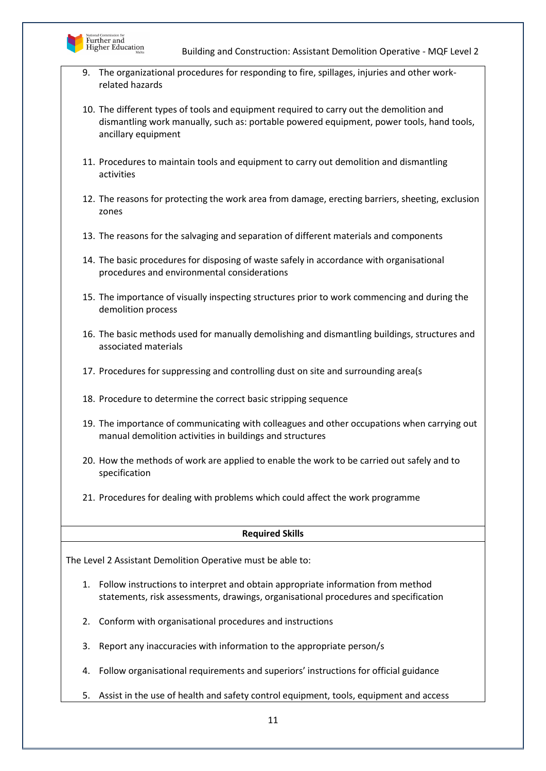

9. The organizational procedures for responding to fire, spillages, injuries and other workrelated hazards

10. The different types of tools and equipment required to carry out the demolition and dismantling work manually, such as: portable powered equipment, power tools, hand tools, ancillary equipment

- 11. Procedures to maintain tools and equipment to carry out demolition and dismantling activities
- 12. The reasons for protecting the work area from damage, erecting barriers, sheeting, exclusion zones
- 13. The reasons for the salvaging and separation of different materials and components
- 14. The basic procedures for disposing of waste safely in accordance with organisational procedures and environmental considerations
- 15. The importance of visually inspecting structures prior to work commencing and during the demolition process
- 16. The basic methods used for manually demolishing and dismantling buildings, structures and associated materials
- 17. Procedures for suppressing and controlling dust on site and surrounding area(s
- 18. Procedure to determine the correct basic stripping sequence
- 19. The importance of communicating with colleagues and other occupations when carrying out manual demolition activities in buildings and structures
- 20. How the methods of work are applied to enable the work to be carried out safely and to specification
- 21. Procedures for dealing with problems which could affect the work programme

#### **Required Skills**

The Level 2 Assistant Demolition Operative must be able to:

- 1. Follow instructions to interpret and obtain appropriate information from method statements, risk assessments, drawings, organisational procedures and specification
- 2. Conform with organisational procedures and instructions
- 3. Report any inaccuracies with information to the appropriate person/s
- 4. Follow organisational requirements and superiors' instructions for official guidance
- 5. Assist in the use of health and safety control equipment, tools, equipment and access